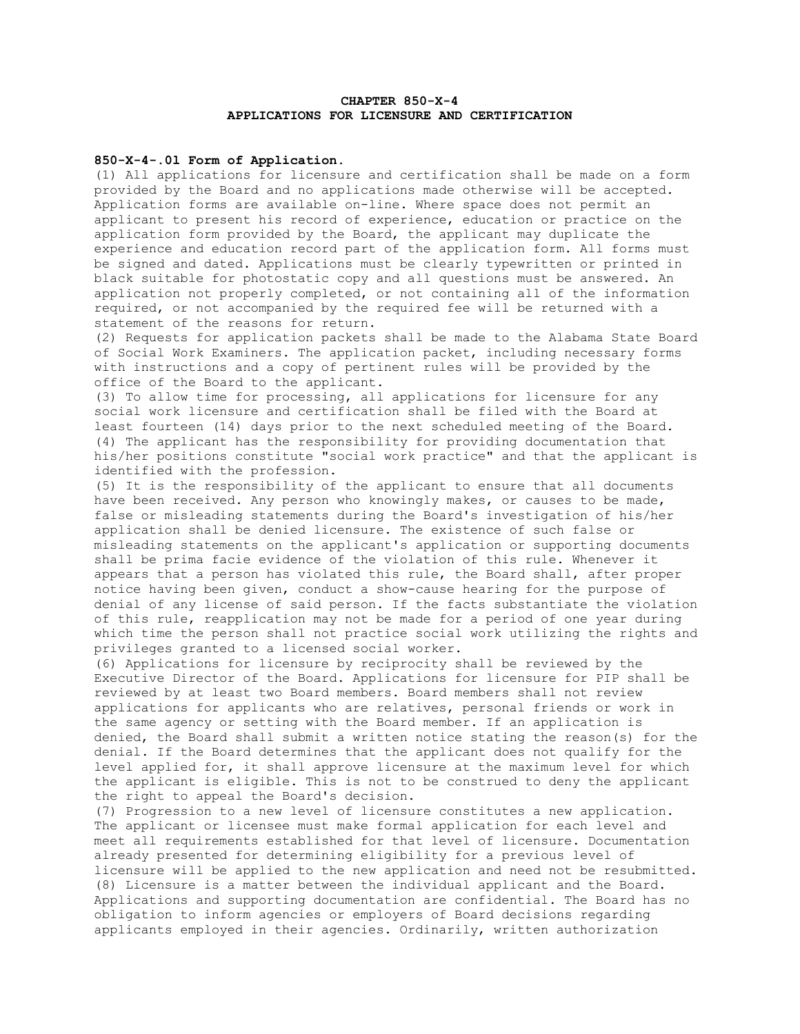# **CHAPTER 850-X-4 APPLICATIONS FOR LICENSURE AND CERTIFICATION**

## **850-X-4-.0l Form of Application**.

(1) All applications for licensure and certification shall be made on a form provided by the Board and no applications made otherwise will be accepted. Application forms are available on-line. Where space does not permit an applicant to present his record of experience, education or practice on the application form provided by the Board, the applicant may duplicate the experience and education record part of the application form. All forms must be signed and dated. Applications must be clearly typewritten or printed in black suitable for photostatic copy and all questions must be answered. An application not properly completed, or not containing all of the information required, or not accompanied by the required fee will be returned with a statement of the reasons for return.

(2) Requests for application packets shall be made to the Alabama State Board of Social Work Examiners. The application packet, including necessary forms with instructions and a copy of pertinent rules will be provided by the office of the Board to the applicant.

(3) To allow time for processing, all applications for licensure for any social work licensure and certification shall be filed with the Board at least fourteen (14) days prior to the next scheduled meeting of the Board. (4) The applicant has the responsibility for providing documentation that his/her positions constitute "social work practice" and that the applicant is identified with the profession.

(5) It is the responsibility of the applicant to ensure that all documents have been received. Any person who knowingly makes, or causes to be made, false or misleading statements during the Board's investigation of his/her application shall be denied licensure. The existence of such false or misleading statements on the applicant's application or supporting documents shall be prima facie evidence of the violation of this rule. Whenever it appears that a person has violated this rule, the Board shall, after proper notice having been given, conduct a show-cause hearing for the purpose of denial of any license of said person. If the facts substantiate the violation of this rule, reapplication may not be made for a period of one year during which time the person shall not practice social work utilizing the rights and privileges granted to a licensed social worker.

(6) Applications for licensure by reciprocity shall be reviewed by the Executive Director of the Board. Applications for licensure for PIP shall be reviewed by at least two Board members. Board members shall not review applications for applicants who are relatives, personal friends or work in the same agency or setting with the Board member. If an application is denied, the Board shall submit a written notice stating the reason(s) for the denial. If the Board determines that the applicant does not qualify for the level applied for, it shall approve licensure at the maximum level for which the applicant is eligible. This is not to be construed to deny the applicant the right to appeal the Board's decision.

(7) Progression to a new level of licensure constitutes a new application. The applicant or licensee must make formal application for each level and meet all requirements established for that level of licensure. Documentation already presented for determining eligibility for a previous level of licensure will be applied to the new application and need not be resubmitted. (8) Licensure is a matter between the individual applicant and the Board. Applications and supporting documentation are confidential. The Board has no obligation to inform agencies or employers of Board decisions regarding applicants employed in their agencies. Ordinarily, written authorization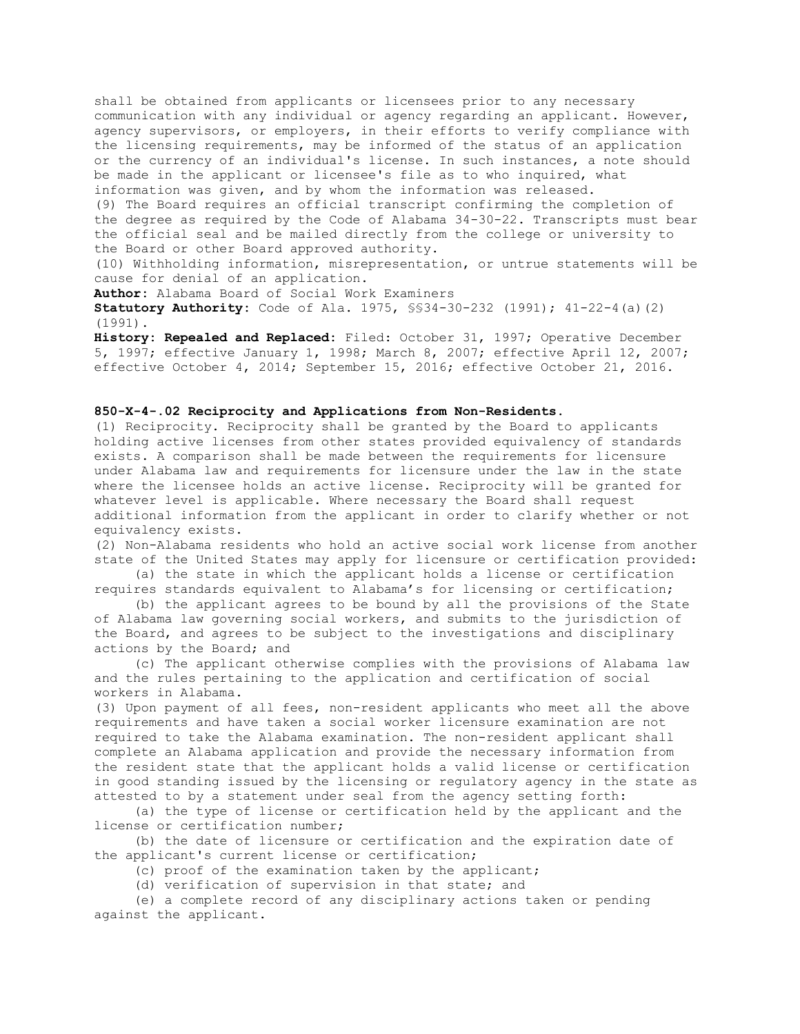shall be obtained from applicants or licensees prior to any necessary communication with any individual or agency regarding an applicant. However, agency supervisors, or employers, in their efforts to verify compliance with the licensing requirements, may be informed of the status of an application or the currency of an individual's license. In such instances, a note should be made in the applicant or licensee's file as to who inquired, what information was given, and by whom the information was released.

(9) The Board requires an official transcript confirming the completion of the degree as required by the Code of Alabama 34-30-22. Transcripts must bear the official seal and be mailed directly from the college or university to the Board or other Board approved authority.

(10) Withholding information, misrepresentation, or untrue statements will be cause for denial of an application.

**Author:** Alabama Board of Social Work Examiners

**Statutory Authority:** Code of Ala. 1975, §§34-30-232 (1991); 41-22-4(a)(2) (1991).

**History: Repealed and Replaced:** Filed: October 31, 1997; Operative December 5, 1997; effective January 1, 1998; March 8, 2007; effective April 12, 2007; effective October 4, 2014; September 15, 2016; effective October 21, 2016.

### **850-X-4-.02 Reciprocity and Applications from Non-Residents.**

(1) Reciprocity. Reciprocity shall be granted by the Board to applicants holding active licenses from other states provided equivalency of standards exists. A comparison shall be made between the requirements for licensure under Alabama law and requirements for licensure under the law in the state where the licensee holds an active license. Reciprocity will be granted for whatever level is applicable. Where necessary the Board shall request additional information from the applicant in order to clarify whether or not equivalency exists.

(2) Non-Alabama residents who hold an active social work license from another state of the United States may apply for licensure or certification provided:

 (a) the state in which the applicant holds a license or certification requires standards equivalent to Alabama's for licensing or certification;

 (b) the applicant agrees to be bound by all the provisions of the State of Alabama law governing social workers, and submits to the jurisdiction of the Board, and agrees to be subject to the investigations and disciplinary actions by the Board; and

 (c) The applicant otherwise complies with the provisions of Alabama law and the rules pertaining to the application and certification of social workers in Alabama.

(3) Upon payment of all fees, non-resident applicants who meet all the above requirements and have taken a social worker licensure examination are not required to take the Alabama examination. The non-resident applicant shall complete an Alabama application and provide the necessary information from the resident state that the applicant holds a valid license or certification in good standing issued by the licensing or regulatory agency in the state as attested to by a statement under seal from the agency setting forth:

 (a) the type of license or certification held by the applicant and the license or certification number;

 (b) the date of licensure or certification and the expiration date of the applicant's current license or certification;

(c) proof of the examination taken by the applicant;

(d) verification of supervision in that state; and

 (e) a complete record of any disciplinary actions taken or pending against the applicant.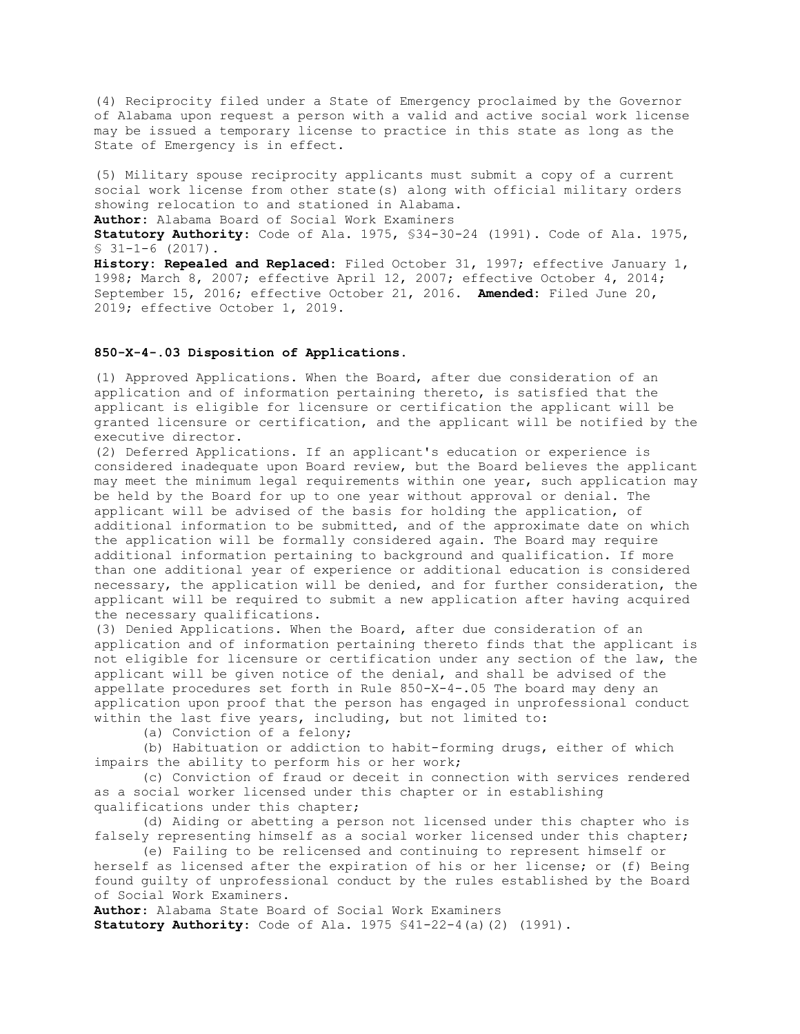(4) Reciprocity filed under a State of Emergency proclaimed by the Governor of Alabama upon request a person with a valid and active social work license may be issued a temporary license to practice in this state as long as the State of Emergency is in effect.

(5) Military spouse reciprocity applicants must submit a copy of a current social work license from other state(s) along with official military orders showing relocation to and stationed in Alabama.

**Author:** Alabama Board of Social Work Examiners

**Statutory Authority**: Code of Ala. 1975, §34-30-24 (1991). Code of Ala. 1975, § 31-1-6 (2017).

**History: Repealed and Replaced:** Filed October 31, 1997; effective January 1, 1998; March 8, 2007; effective April 12, 2007; effective October 4, 2014; September 15, 2016; effective October 21, 2016. **Amended:** Filed June 20, 2019; effective October 1, 2019.

# **850-X-4-.03 Disposition of Applications**.

(1) Approved Applications. When the Board, after due consideration of an application and of information pertaining thereto, is satisfied that the applicant is eligible for licensure or certification the applicant will be granted licensure or certification, and the applicant will be notified by the executive director.

(2) Deferred Applications. If an applicant's education or experience is considered inadequate upon Board review, but the Board believes the applicant may meet the minimum legal requirements within one year, such application may be held by the Board for up to one year without approval or denial. The applicant will be advised of the basis for holding the application, of additional information to be submitted, and of the approximate date on which the application will be formally considered again. The Board may require additional information pertaining to background and qualification. If more than one additional year of experience or additional education is considered necessary, the application will be denied, and for further consideration, the applicant will be required to submit a new application after having acquired the necessary qualifications.

(3) Denied Applications. When the Board, after due consideration of an application and of information pertaining thereto finds that the applicant is not eligible for licensure or certification under any section of the law, the applicant will be given notice of the denial, and shall be advised of the appellate procedures set forth in Rule 850-X-4-.05 The board may deny an application upon proof that the person has engaged in unprofessional conduct within the last five years, including, but not limited to:

(a) Conviction of a felony;

(b) Habituation or addiction to habit-forming drugs, either of which impairs the ability to perform his or her work;

(c) Conviction of fraud or deceit in connection with services rendered as a social worker licensed under this chapter or in establishing qualifications under this chapter;

(d) Aiding or abetting a person not licensed under this chapter who is falsely representing himself as a social worker licensed under this chapter;

(e) Failing to be relicensed and continuing to represent himself or herself as licensed after the expiration of his or her license; or (f) Being found guilty of unprofessional conduct by the rules established by the Board of Social Work Examiners.

**Author**: Alabama State Board of Social Work Examiners **Statutory Authority**: Code of Ala. 1975 §41-22-4(a)(2) (1991).